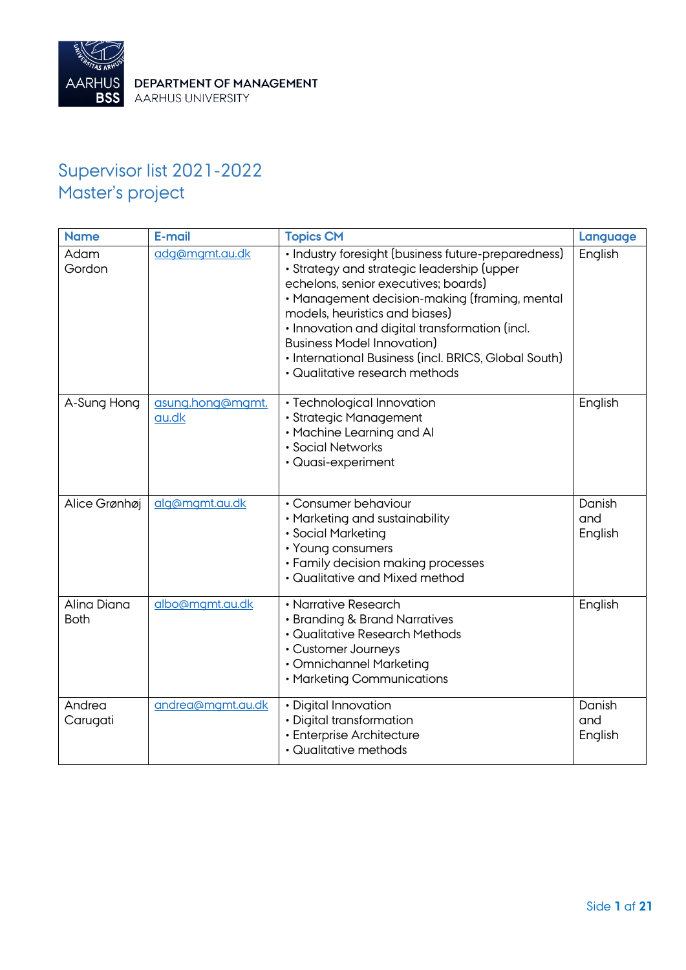

# Supervisor list 2021-2022 Master's project

| <b>Name</b>                | E-mail                    | <b>Topics CM</b>                                                                                                                                                                                                                                                                                                                                                                                              | Language                 |
|----------------------------|---------------------------|---------------------------------------------------------------------------------------------------------------------------------------------------------------------------------------------------------------------------------------------------------------------------------------------------------------------------------------------------------------------------------------------------------------|--------------------------|
| Adam<br>Gordon             | adg@mgmt.au.dk            | · Industry foresight (business future-preparedness)<br>· Strategy and strategic leadership (upper<br>echelons, senior executives; boards)<br>· Management decision-making (framing, mental<br>models, heuristics and biases)<br>· Innovation and digital transformation (incl.<br><b>Business Model Innovation)</b><br>• International Business (incl. BRICS, Global South)<br>· Qualitative research methods | English                  |
| A-Sung Hong                | asung.hong@mgmt.<br>au.dk | · Technological Innovation<br>· Strategic Management<br>• Machine Learning and Al<br>· Social Networks<br>· Quasi-experiment                                                                                                                                                                                                                                                                                  | English                  |
| Alice Grønhøj              | alg@mgmt.au.dk            | • Consumer behaviour<br>• Marketing and sustainability<br>· Social Marketing<br>• Young consumers<br>• Family decision making processes<br>• Qualitative and Mixed method                                                                                                                                                                                                                                     | Danish<br>and<br>English |
| Alina Diana<br><b>Both</b> | albo@mgmt.au.dk           | • Narrative Research<br>• Branding & Brand Narratives<br>· Qualitative Research Methods<br>• Customer Journeys<br>· Omnichannel Marketing<br>• Marketing Communications                                                                                                                                                                                                                                       | English                  |
| Andrea<br>Carugati         | andrea@mgmt.au.dk         | · Digital Innovation<br>· Digital transformation<br>· Enterprise Architecture<br>• Qualitative methods                                                                                                                                                                                                                                                                                                        | Danish<br>and<br>English |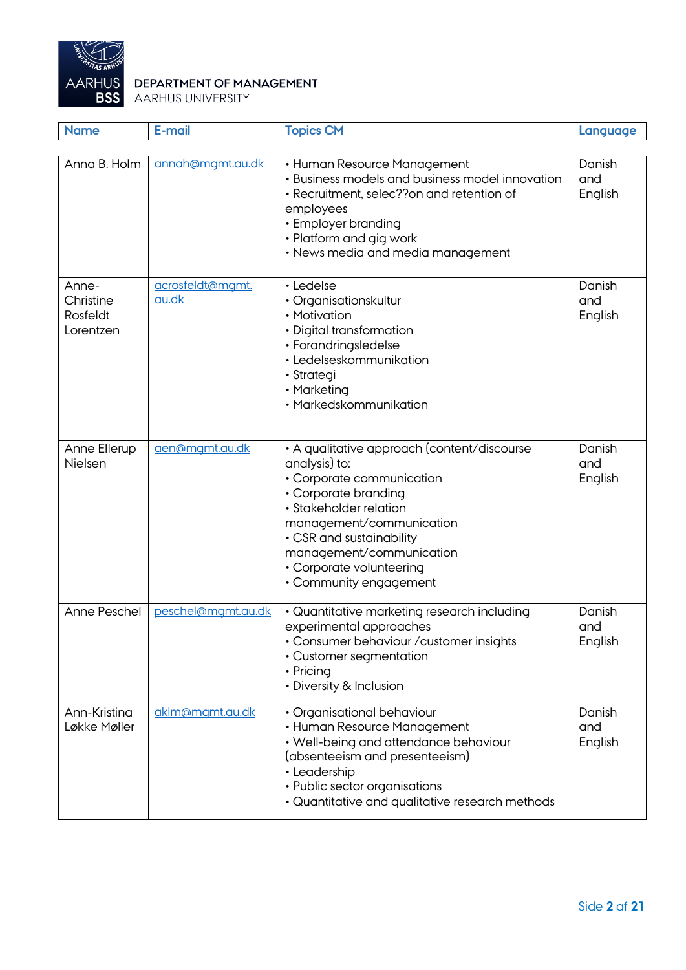

| <b>Name</b>                                 | E-mail                    | <b>Topics CM</b>                                                                                                                                                                                                                                                                      | Language                 |
|---------------------------------------------|---------------------------|---------------------------------------------------------------------------------------------------------------------------------------------------------------------------------------------------------------------------------------------------------------------------------------|--------------------------|
| Anna B. Holm                                | annah@mgmt.au.dk          | • Human Resource Management<br>• Business models and business model innovation<br>· Recruitment, selec??on and retention of<br>employees<br>• Employer branding<br>• Platform and gig work<br>• News media and media management                                                       | Danish<br>and<br>English |
| Anne-<br>Christine<br>Rosfeldt<br>Lorentzen | acrosfeldt@mgmt.<br>au.dk | • Ledelse<br>• Organisationskultur<br>• Motivation<br>• Digital transformation<br>• Forandringsledelse<br>• Ledelseskommunikation<br>· Strategi<br>• Marketing<br>• Markedskommunikation                                                                                              | Danish<br>and<br>English |
| Anne Ellerup<br>Nielsen                     | aen@mgmt.au.dk            | • A qualitative approach (content/discourse<br>analysis) to:<br>• Corporate communication<br>• Corporate branding<br>· Stakeholder relation<br>management/communication<br>• CSR and sustainability<br>management/communication<br>• Corporate volunteering<br>• Community engagement | Danish<br>and<br>English |
| Anne Peschel                                | peschel@mgmt.au.dk        | • Quantitative marketing research including<br>experimental approaches<br>• Consumer behaviour / customer insights<br>• Customer segmentation<br>• Pricing<br>• Diversity & Inclusion                                                                                                 | Danish<br>and<br>English |
| Ann-Kristina<br>Løkke Møller                | aklm@mgmt.au.dk           | • Organisational behaviour<br>• Human Resource Management<br>• Well-being and attendance behaviour<br>(absenteeism and presenteeism)<br>• Leadership<br>• Public sector organisations<br>• Quantitative and qualitative research methods                                              | Danish<br>and<br>English |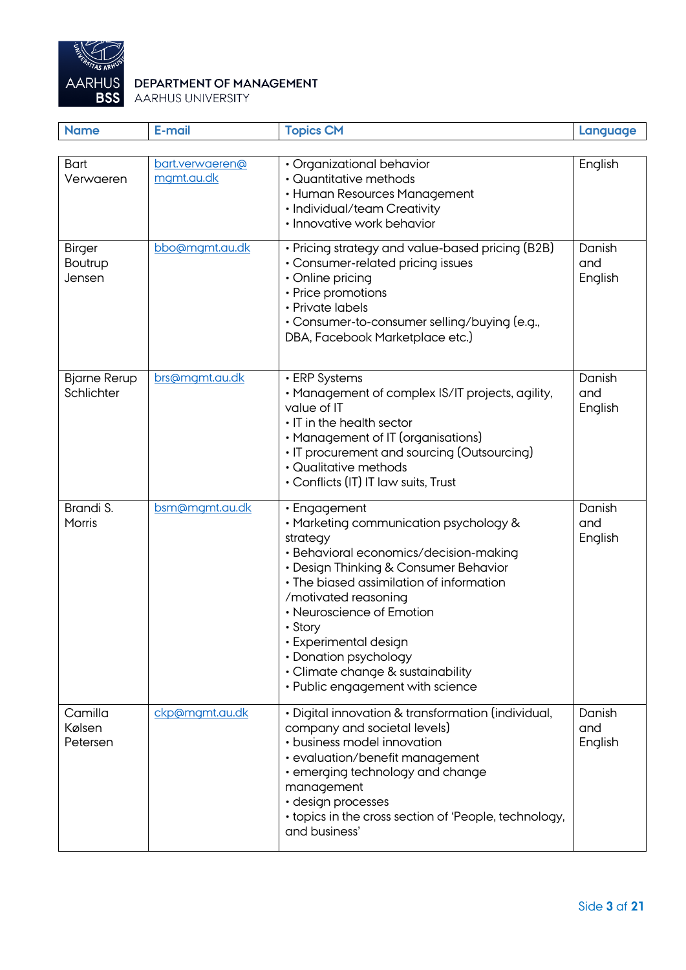

| <b>Name</b>                               | E-mail                        | <b>Topics CM</b>                                                                                                                                                                                                                                                                                                                                                                             | Language                 |
|-------------------------------------------|-------------------------------|----------------------------------------------------------------------------------------------------------------------------------------------------------------------------------------------------------------------------------------------------------------------------------------------------------------------------------------------------------------------------------------------|--------------------------|
| <b>Bart</b><br>Verwaeren                  | bart.verwaeren@<br>mgmt.au.dk | • Organizational behavior<br>• Quantitative methods<br>• Human Resources Management<br>• Individual/team Creativity<br>• Innovative work behavior                                                                                                                                                                                                                                            | English                  |
| <b>Birger</b><br><b>Boutrup</b><br>Jensen | bbo@mgmt.au.dk                | • Pricing strategy and value-based pricing (B2B)<br>• Consumer-related pricing issues<br>• Online pricing<br>• Price promotions<br>• Private labels<br>• Consumer-to-consumer selling/buying (e.g.,<br>DBA, Facebook Marketplace etc.)                                                                                                                                                       | Danish<br>and<br>English |
| <b>Bjarne Rerup</b><br>Schlichter         | brs@mgmt.au.dk                | • ERP Systems<br>• Management of complex IS/IT projects, agility,<br>value of IT<br>• IT in the health sector<br>• Management of IT (organisations)<br>• IT procurement and sourcing (Outsourcing)<br>• Qualitative methods<br>• Conflicts (IT) IT law suits, Trust                                                                                                                          | Danish<br>and<br>English |
| Brandi S.<br>Morris                       | bsm@mgmt.au.dk                | • Engagement<br>• Marketing communication psychology &<br>strategy<br>· Behavioral economics/decision-making<br>• Design Thinking & Consumer Behavior<br>• The biased assimilation of information<br>/motivated reasoning<br>• Neuroscience of Emotion<br>• Story<br>• Experimental design<br>• Donation psychology<br>• Climate change & sustainability<br>• Public engagement with science | Danish<br>and<br>English |
| Camilla<br>Kølsen<br>Petersen             | ckp@mgmt.au.dk                | · Digital innovation & transformation (individual,<br>company and societal levels)<br>• business model innovation<br>• evaluation/benefit management<br>• emerging technology and change<br>management<br>· design processes<br>• topics in the cross section of 'People, technology,<br>and business'                                                                                       | Danish<br>and<br>English |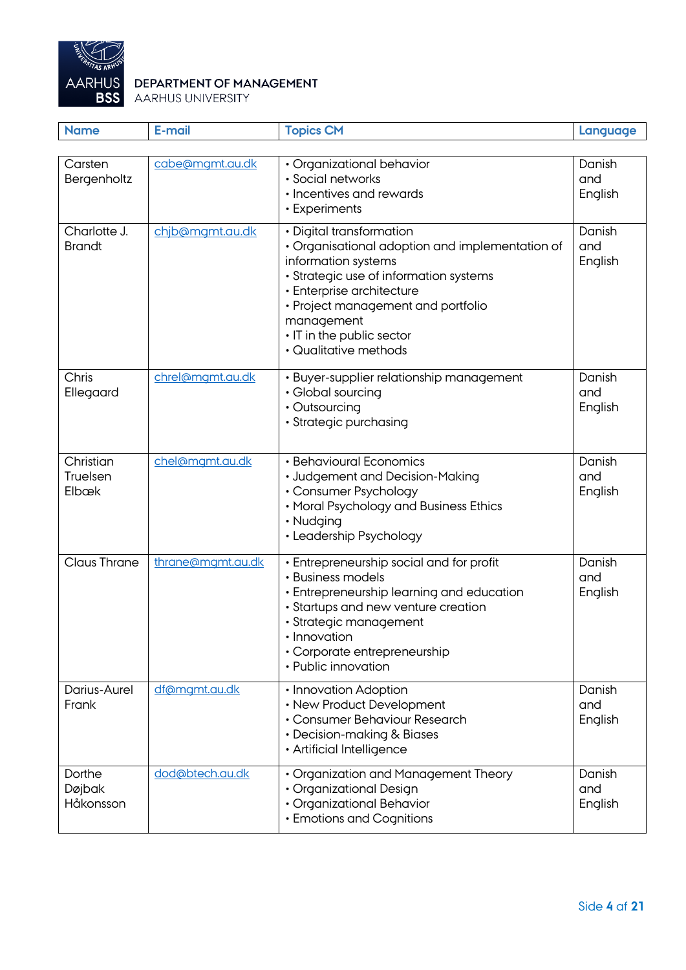

| <b>Name</b>                    | E-mail            | <b>Topics CM</b>                                                                                                                                                                                                                                                                    | Language                 |
|--------------------------------|-------------------|-------------------------------------------------------------------------------------------------------------------------------------------------------------------------------------------------------------------------------------------------------------------------------------|--------------------------|
| Carsten<br>Bergenholtz         | cabe@mgmt.au.dk   | · Organizational behavior<br>· Social networks<br>• Incentives and rewards<br>• Experiments                                                                                                                                                                                         | Danish<br>and<br>English |
| Charlotte J.<br><b>Brandt</b>  | chjb@mgmt.au.dk   | • Digital transformation<br>• Organisational adoption and implementation of<br>information systems<br>· Strategic use of information systems<br>• Enterprise architecture<br>• Project management and portfolio<br>management<br>• IT in the public sector<br>• Qualitative methods | Danish<br>and<br>English |
| Chris<br>Ellegaard             | chrel@mgmt.au.dk  | · Buyer-supplier relationship management<br>• Global sourcing<br>• Outsourcing<br>· Strategic purchasing                                                                                                                                                                            | Danish<br>and<br>English |
| Christian<br>Truelsen<br>Elbæk | chel@mgmt.au.dk   | • Behavioural Economics<br>• Judgement and Decision-Making<br>• Consumer Psychology<br>• Moral Psychology and Business Ethics<br>• Nudging<br>• Leadership Psychology                                                                                                               | Danish<br>and<br>English |
| <b>Claus Thrane</b>            | thrane@mgmt.au.dk | • Entrepreneurship social and for profit<br>• Business models<br>• Entrepreneurship learning and education<br>· Startups and new venture creation<br>· Strategic management<br>• Innovation<br>• Corporate entrepreneurship<br>• Public innovation                                  | Danish<br>and<br>English |
| Darius-Aurel<br>Frank          | df@mgmt.au.dk     | • Innovation Adoption<br>• New Product Development<br>• Consumer Behaviour Research<br>• Decision-making & Biases<br>• Artificial Intelligence                                                                                                                                      | Danish<br>and<br>English |
| Dorthe<br>Døjbak<br>Håkonsson  | dod@btech.au.dk   | • Organization and Management Theory<br>· Organizational Design<br>• Organizational Behavior<br>• Emotions and Cognitions                                                                                                                                                           | Danish<br>and<br>English |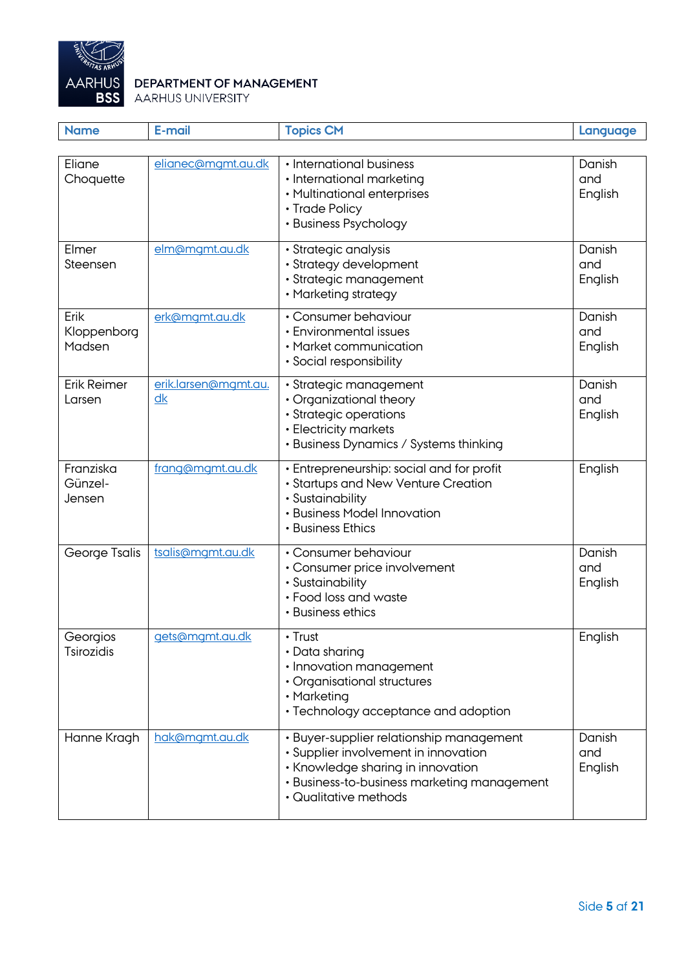

| <b>Name</b>                    | E-mail                     | <b>Topics CM</b>                                                                                                                                                                              | Language                 |
|--------------------------------|----------------------------|-----------------------------------------------------------------------------------------------------------------------------------------------------------------------------------------------|--------------------------|
|                                |                            |                                                                                                                                                                                               |                          |
| Eliane<br>Choquette            | elianec@mgmt.au.dk         | • International business<br>• International marketing<br>• Multinational enterprises<br>• Trade Policy<br>• Business Psychology                                                               | Danish<br>and<br>English |
| Elmer<br>Steensen              | elm@mgmt.au.dk             | · Strategic analysis<br>• Strategy development<br>· Strategic management<br>• Marketing strategy                                                                                              | Danish<br>and<br>English |
| Erik<br>Kloppenborg<br>Madsen  | erk@mgmt.au.dk             | • Consumer behaviour<br>• Environmental issues<br>• Market communication<br>• Social responsibility                                                                                           | Danish<br>and<br>English |
| Erik Reimer<br>Larsen          | erik.larsen@mgmt.au.<br>dk | · Strategic management<br>• Organizational theory<br>· Strategic operations<br>• Electricity markets<br>• Business Dynamics / Systems thinking                                                | Danish<br>and<br>English |
| Franziska<br>Günzel-<br>Jensen | frang@mgmt.au.dk           | • Entrepreneurship: social and for profit<br>• Startups and New Venture Creation<br>· Sustainability<br>• Business Model Innovation<br>• Business Ethics                                      | English                  |
| George Tsalis                  | tsalis@mgmt.au.dk          | • Consumer behaviour<br>• Consumer price involvement<br>· Sustainability<br>• Food loss and waste<br>• Business ethics                                                                        | Danish<br>and<br>English |
| Georgios<br><b>Tsirozidis</b>  | gets@mgmt.au.dk            | $\cdot$ Trust<br>• Data sharing<br>· Innovation management<br>• Organisational structures<br>• Marketing<br>• Technology acceptance and adoption                                              | English                  |
| Hanne Kragh                    | hak@mgmt.au.dk             | · Buyer-supplier relationship management<br>• Supplier involvement in innovation<br>• Knowledge sharing in innovation<br>• Business-to-business marketing management<br>• Qualitative methods | Danish<br>and<br>English |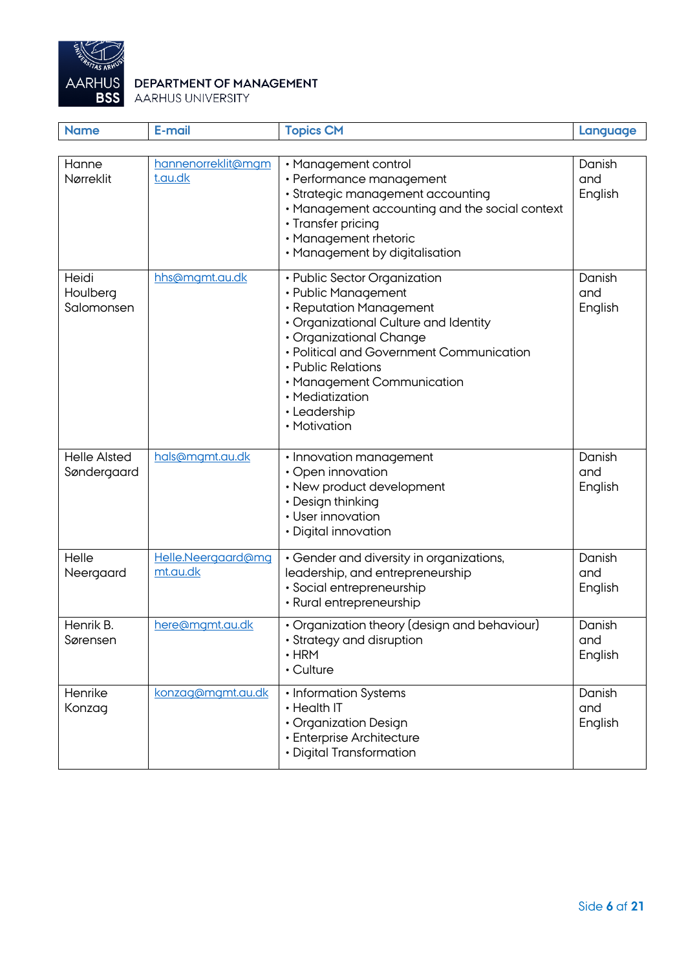

| <b>Name</b>                        | E-mail                         | <b>Topics CM</b>                                                                                                                                                                                                                                                                                      | Language                 |
|------------------------------------|--------------------------------|-------------------------------------------------------------------------------------------------------------------------------------------------------------------------------------------------------------------------------------------------------------------------------------------------------|--------------------------|
| Hanne                              | hannenorreklit@mgm             |                                                                                                                                                                                                                                                                                                       |                          |
| Nørreklit                          | t.au.dk                        | • Management control<br>• Performance management<br>· Strategic management accounting<br>• Management accounting and the social context<br>• Transfer pricing<br>• Management rhetoric<br>• Management by digitalisation                                                                              | Danish<br>and<br>English |
| Heidi<br>Houlberg<br>Salomonsen    | hhs@mgmt.au.dk                 | • Public Sector Organization<br>• Public Management<br>• Reputation Management<br>• Organizational Culture and Identity<br>• Organizational Change<br>• Political and Government Communication<br>• Public Relations<br>• Management Communication<br>• Mediatization<br>• Leadership<br>• Motivation | Danish<br>and<br>English |
| <b>Helle Alsted</b><br>Søndergaard | hals@mgmt.au.dk                | • Innovation management<br>• Open innovation<br>• New product development<br>• Design thinking<br>• User innovation<br>• Digital innovation                                                                                                                                                           | Danish<br>and<br>English |
| Helle<br>Neergaard                 | Helle.Neergaard@mg<br>mt.au.dk | • Gender and diversity in organizations,<br>leadership, and entrepreneurship<br>· Social entrepreneurship<br>• Rural entrepreneurship                                                                                                                                                                 | Danish<br>and<br>English |
| Henrik B.<br>Sørensen              | here@mgmt.au.dk                | • Organization theory (design and behaviour)<br>· Strategy and disruption<br>$\cdot$ HRM<br>• Culture                                                                                                                                                                                                 | Danish<br>and<br>English |
| Henrike<br>Konzag                  | konzag@mgmt.au.dk              | • Information Systems<br>• Health IT<br>• Organization Design<br>• Enterprise Architecture<br>• Digital Transformation                                                                                                                                                                                | Danish<br>and<br>English |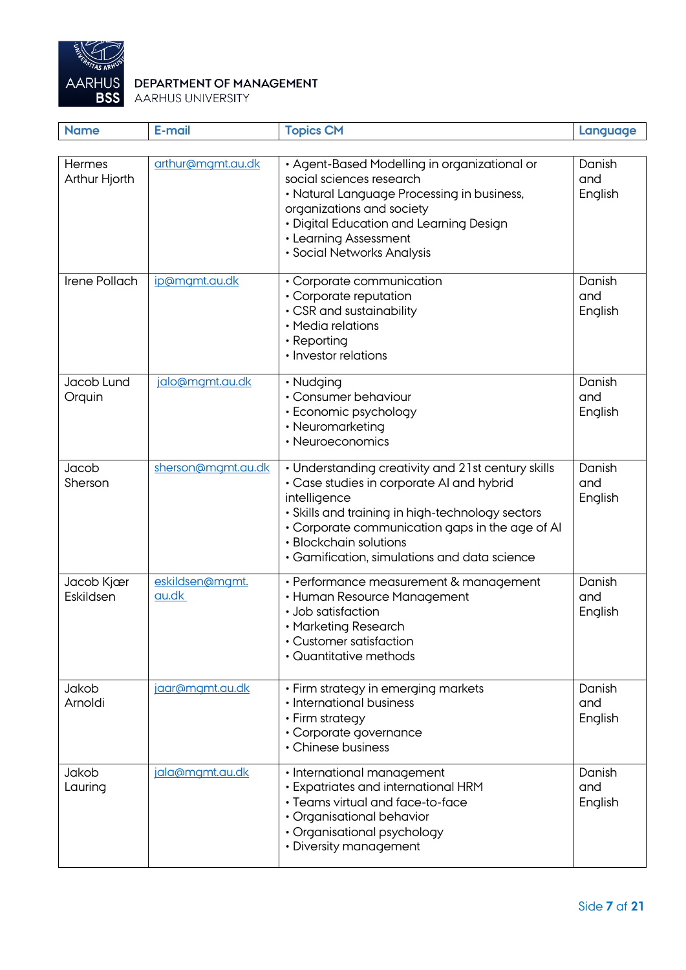

| <b>Name</b>                    | E-mail                   | <b>Topics CM</b>                                                                                                                                                                                                                                                                                 | Language                 |
|--------------------------------|--------------------------|--------------------------------------------------------------------------------------------------------------------------------------------------------------------------------------------------------------------------------------------------------------------------------------------------|--------------------------|
| <b>Hermes</b><br>Arthur Hjorth | arthur@mgmt.au.dk        | • Agent-Based Modelling in organizational or<br>social sciences research<br>• Natural Language Processing in business,<br>organizations and society<br>• Digital Education and Learning Design<br>• Learning Assessment<br>· Social Networks Analysis                                            | Danish<br>and<br>English |
| Irene Pollach                  | ip@mgmt.au.dk            | • Corporate communication<br>• Corporate reputation<br>• CSR and sustainability<br>• Media relations<br>• Reporting<br>• Investor relations                                                                                                                                                      | Danish<br>and<br>English |
| Jacob Lund<br>Orquin           | jalo@mgmt.au.dk          | • Nudging<br>• Consumer behaviour<br>• Economic psychology<br>• Neuromarketing<br>• Neuroeconomics                                                                                                                                                                                               | Danish<br>and<br>English |
| Jacob<br>Sherson               | sherson@mgmt.au.dk       | • Understanding creativity and 21st century skills<br>• Case studies in corporate AI and hybrid<br>intelligence<br>• Skills and training in high-technology sectors<br>• Corporate communication gaps in the age of AI<br>• Blockchain solutions<br>• Gamification, simulations and data science | Danish<br>and<br>English |
| Jacob Kjær<br>Eskildsen        | eskildsen@mgmt.<br>au.dk | • Performance measurement & management<br>• Human Resource Management<br>· Job satisfaction<br>• Marketing Research<br><b>Customer satisfaction</b><br>· Quantitative methods                                                                                                                    | Danish<br>and<br>English |
| Jakob<br>Arnoldi               | jaar@mgmt.au.dk          | • Firm strategy in emerging markets<br>• International business<br>• Firm strategy<br>· Corporate governance<br>• Chinese business                                                                                                                                                               | Danish<br>and<br>English |
| Jakob<br>Lauring               | jala@mgmt.au.dk          | · International management<br>• Expatriates and international HRM<br>· Teams virtual and face-to-face<br>• Organisational behavior<br>• Organisational psychology<br>• Diversity management                                                                                                      | Danish<br>and<br>English |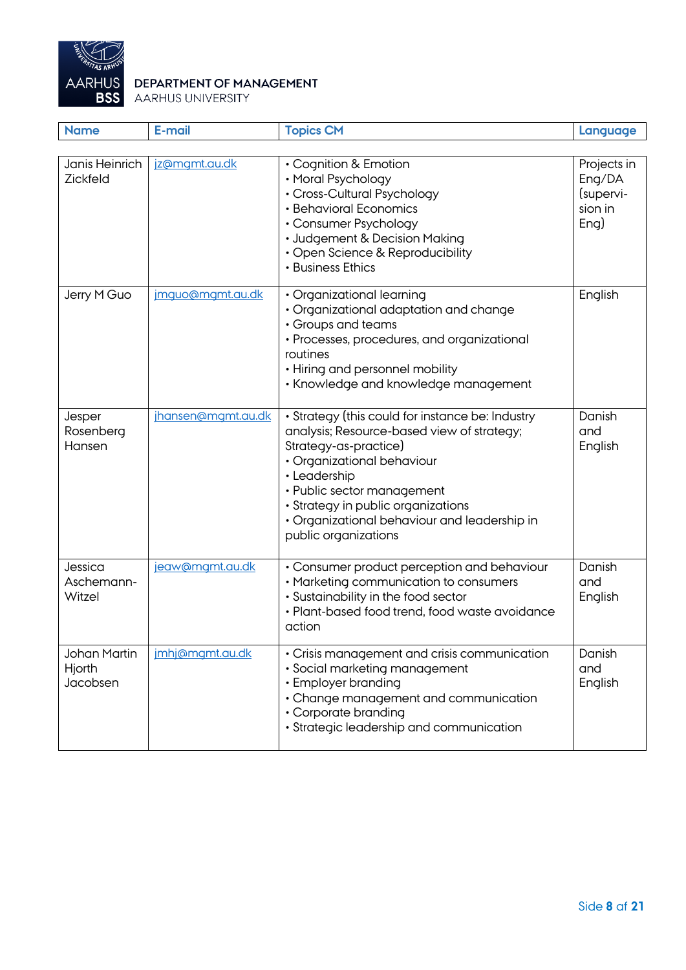

| <b>Name</b>                               | <b>E-mail</b>      | <b>Topics CM</b>                                                                                                                                                                                                                                                                                                  | Language                                              |
|-------------------------------------------|--------------------|-------------------------------------------------------------------------------------------------------------------------------------------------------------------------------------------------------------------------------------------------------------------------------------------------------------------|-------------------------------------------------------|
|                                           |                    |                                                                                                                                                                                                                                                                                                                   |                                                       |
| Janis Heinrich<br><b>Zickfeld</b>         | jz@mgmt.au.dk      | • Cognition & Emotion<br>• Moral Psychology<br>• Cross-Cultural Psychology<br>• Behavioral Economics<br>• Consumer Psychology<br>• Judgement & Decision Making<br>• Open Science & Reproducibility<br>• Business Ethics                                                                                           | Projects in<br>Eng/DA<br>(supervi-<br>sion in<br>Eng) |
| Jerry M Guo                               | imquo@mqmt.au.dk   | • Organizational learning<br>· Organizational adaptation and change<br>• Groups and teams<br>• Processes, procedures, and organizational<br>routines<br>• Hiring and personnel mobility<br>• Knowledge and knowledge management                                                                                   | English                                               |
| Jesper<br>Rosenberg<br>Hansen             | jhansen@mgmt.au.dk | • Strategy (this could for instance be: Industry<br>analysis; Resource-based view of strategy;<br>Strategy-as-practice)<br>• Organizational behaviour<br>• Leadership<br>• Public sector management<br>· Strategy in public organizations<br>• Organizational behaviour and leadership in<br>public organizations | Danish<br>and<br>English                              |
| Jessica<br>Aschemann-<br>Witzel           | jeaw@mgmt.au.dk    | • Consumer product perception and behaviour<br>• Marketing communication to consumers<br>· Sustainability in the food sector<br>• Plant-based food trend, food waste avoidance<br>action                                                                                                                          | Danish<br>and<br>English                              |
| <b>Johan Martin</b><br>Hjorth<br>Jacobsen | imhj@mgmt.au.dk    | • Crisis management and crisis communication<br>· Social marketing management<br>• Employer branding<br>• Change management and communication<br>• Corporate branding<br>· Strategic leadership and communication                                                                                                 | Danish<br>and<br>English                              |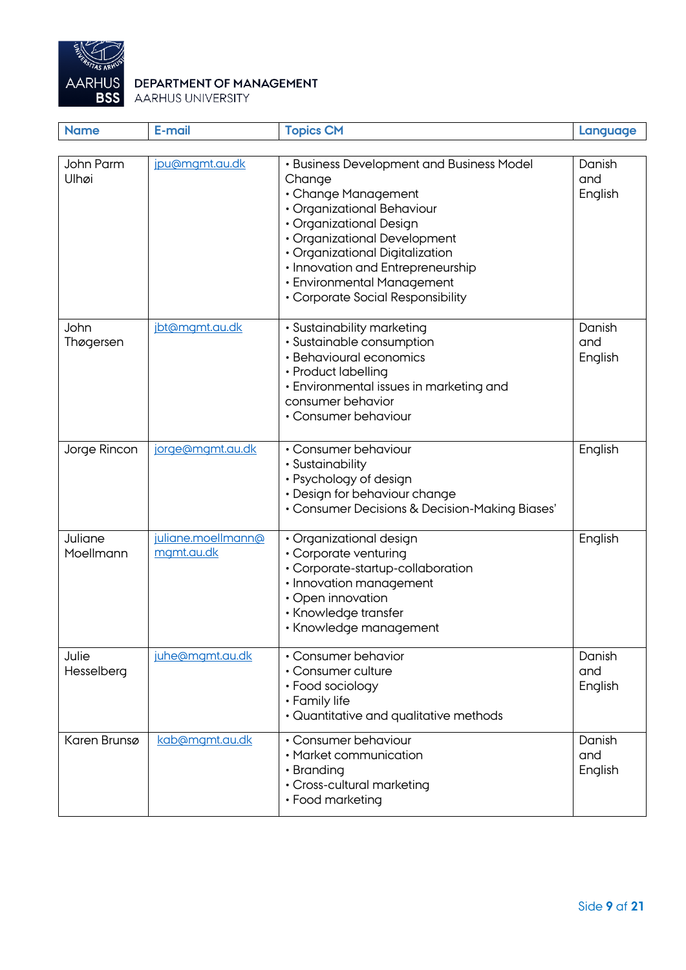

| <b>Name</b>          | E-mail                           | <b>Topics CM</b>                                                                                                                                                                                                                                                                                               | Language                 |
|----------------------|----------------------------------|----------------------------------------------------------------------------------------------------------------------------------------------------------------------------------------------------------------------------------------------------------------------------------------------------------------|--------------------------|
| John Parm<br>Ulhøi   | jpu@mgmt.au.dk                   | • Business Development and Business Model<br>Change<br>• Change Management<br>· Organizational Behaviour<br>• Organizational Design<br>• Organizational Development<br>· Organizational Digitalization<br>• Innovation and Entrepreneurship<br>• Environmental Management<br>• Corporate Social Responsibility | Danish<br>and<br>English |
| John<br>Thøgersen    | jbt@mgmt.au.dk                   | • Sustainability marketing<br>• Sustainable consumption<br>• Behavioural economics<br>• Product labelling<br>• Environmental issues in marketing and<br>consumer behavior<br>• Consumer behaviour                                                                                                              | Danish<br>and<br>English |
| Jorge Rincon         | jorge@mgmt.au.dk                 | • Consumer behaviour<br>· Sustainability<br>• Psychology of design<br>• Design for behaviour change<br>• Consumer Decisions & Decision-Making Biases'                                                                                                                                                          | English                  |
| Juliane<br>Moellmann | juliane.moellmann@<br>mgmt.au.dk | · Organizational design<br>• Corporate venturing<br>• Corporate-startup-collaboration<br>· Innovation management<br>• Open innovation<br>• Knowledge transfer<br>• Knowledge management                                                                                                                        | English                  |
| Julie<br>Hesselberg  | juhe@mgmt.au.dk                  | • Consumer behavior<br>• Consumer culture<br>• Food sociology<br>• Family life<br>• Quantitative and qualitative methods                                                                                                                                                                                       | Danish<br>and<br>English |
| Karen Brunsø         | kab@mgmt.au.dk                   | • Consumer behaviour<br>• Market communication<br>• Branding<br>• Cross-cultural marketing<br>• Food marketing                                                                                                                                                                                                 | Danish<br>and<br>English |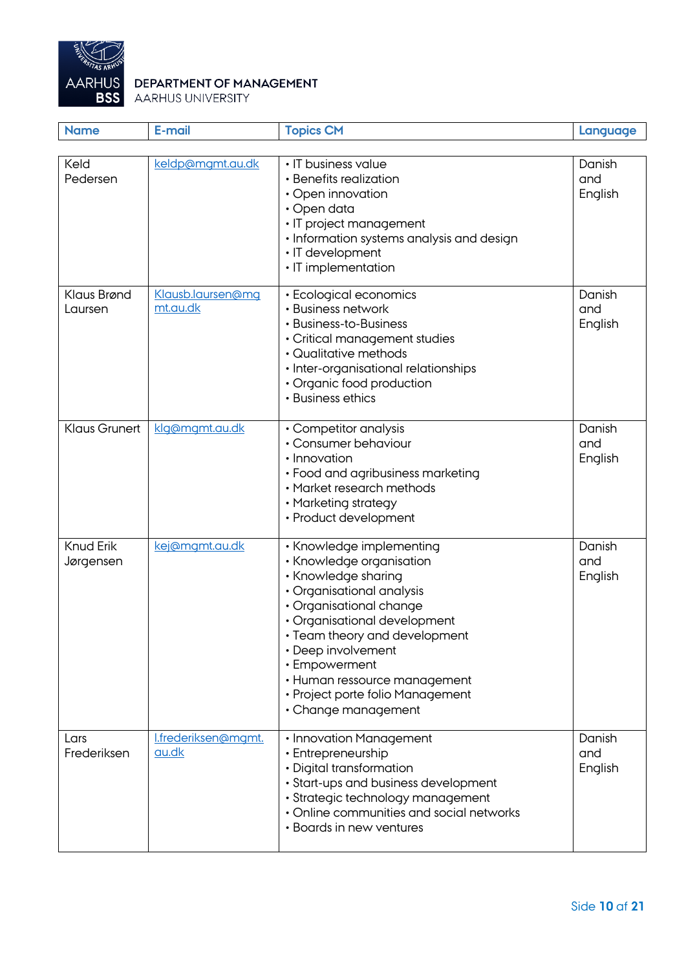

| <b>Name</b>                   | E-mail                              | <b>Topics CM</b>                                                                                                                                                                                                                                                                                                                       | Language                 |
|-------------------------------|-------------------------------------|----------------------------------------------------------------------------------------------------------------------------------------------------------------------------------------------------------------------------------------------------------------------------------------------------------------------------------------|--------------------------|
| Keld                          | keldp@mgmt.au.dk                    | • IT business value                                                                                                                                                                                                                                                                                                                    | Danish                   |
| Pedersen                      |                                     | • Benefits realization<br>• Open innovation<br>$\cdot$ Open data<br>· IT project management<br>• Information systems analysis and design<br>· IT development<br>• IT implementation                                                                                                                                                    | and<br>English           |
| Klaus Brønd<br>Laursen        | Klausb.laursen@mg<br>mt.au.dk       | • Ecological economics<br>• Business network<br>• Business-to-Business<br>· Critical management studies<br>• Qualitative methods<br>· Inter-organisational relationships<br>• Organic food production<br>• Business ethics                                                                                                             | Danish<br>and<br>English |
| <b>Klaus Grunert</b>          | klg@mgmt.au.dk                      | • Competitor analysis<br>• Consumer behaviour<br>• Innovation<br>• Food and agribusiness marketing<br>• Market research methods<br>• Marketing strategy<br>• Product development                                                                                                                                                       | Danish<br>and<br>English |
| <b>Knud Erik</b><br>Jørgensen | kej@mgmt.au.dk                      | • Knowledge implementing<br>• Knowledge organisation<br>• Knowledge sharing<br>• Organisational analysis<br>· Organisational change<br>• Organisational development<br>• Team theory and development<br>• Deep involvement<br>• Empowerment<br>• Human ressource management<br>• Project porte folio Management<br>• Change management | Danish<br>and<br>English |
| Lars<br>Frederiksen           | I.frederiksen@mgmt.<br><u>au.dk</u> | • Innovation Management<br>• Entrepreneurship<br>• Digital transformation<br>· Start-ups and business development<br>· Strategic technology management<br>• Online communities and social networks<br>• Boards in new ventures                                                                                                         | Danish<br>and<br>English |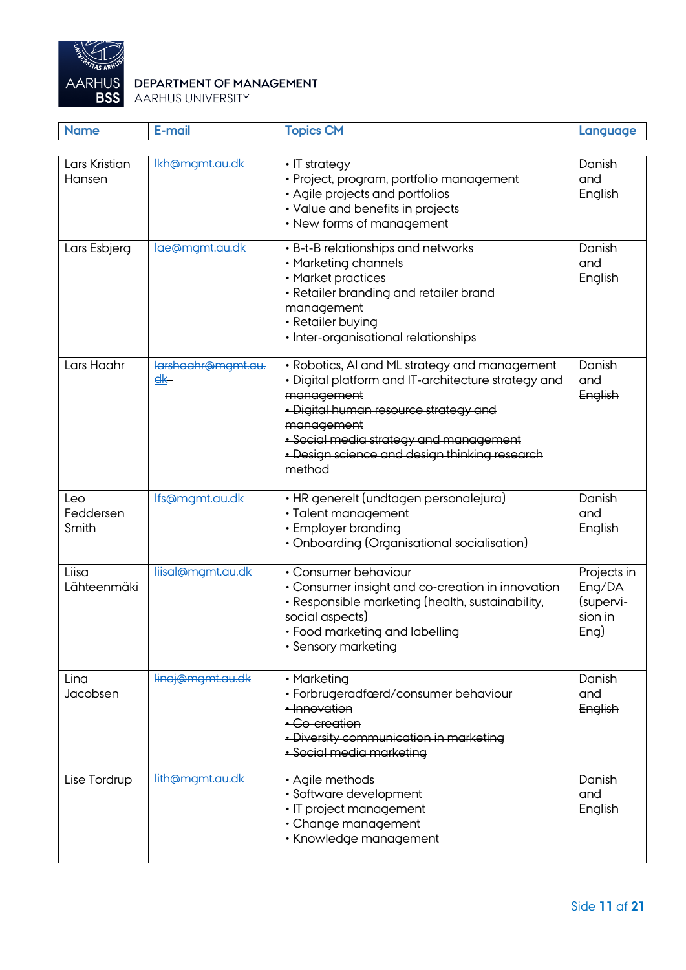

| <b>Name</b>               | E-mail                                                  | <b>Topics CM</b>                                                                                                                                                                                                                                                               | Language                                              |
|---------------------------|---------------------------------------------------------|--------------------------------------------------------------------------------------------------------------------------------------------------------------------------------------------------------------------------------------------------------------------------------|-------------------------------------------------------|
|                           |                                                         |                                                                                                                                                                                                                                                                                |                                                       |
| Lars Kristian<br>Hansen   | Ikh@mgmt.au.dk                                          | $\cdot$ IT strategy<br>• Project, program, portfolio management<br>• Agile projects and portfolios<br>• Value and benefits in projects<br>• New forms of management                                                                                                            | Danish<br>and<br>English                              |
| Lars Esbjerg              | lae@mgmt.au.dk                                          | • B-t-B relationships and networks<br>• Marketing channels<br>• Market practices<br>• Retailer branding and retailer brand<br>management<br>• Retailer buying<br>· Inter-organisational relationships                                                                          | Danish<br>and<br>English                              |
| Lars Haahr                | larshaahr@mamt.au.<br>$\overline{\mathsf{g}\mathsf{K}}$ | · Robotics, AI and ML strategy and management<br>· Digital platform and IT-architecture strategy and<br>management<br>· Digital human resource strategy and<br>management<br>· Social media strategy and management<br>- Design science and design thinking research<br>method | Danish<br>and<br>English                              |
| Leo<br>Feddersen<br>Smith | Ifs@mgmt.au.dk                                          | • HR generelt (undtagen personalejura)<br>· Talent management<br>• Employer branding<br>• Onboarding (Organisational socialisation)                                                                                                                                            | Danish<br>and<br>English                              |
| Liisa<br>Lähteenmäki      | liisal@mgmt.au.dk                                       | • Consumer behaviour<br>• Consumer insight and co-creation in innovation<br>· Responsible marketing (health, sustainability,<br>social aspects)<br>• Food marketing and labelling<br>• Sensory marketing                                                                       | Projects in<br>Eng/DA<br>(supervi-<br>sion in<br>Eng) |
| Ling<br><b>Jacobsen</b>   | lingj@mgmt.au.dk                                        | • Marketing<br>· Forbrugeradfærd/consumer behaviour<br>· Innovation<br>• Co-creation<br>· Diversity communication in marketing<br>• Social media marketing                                                                                                                     | Danish<br>and<br>English                              |
| Lise Tordrup              | lith@mgmt.au.dk                                         | • Agile methods<br>· Software development<br>• IT project management<br>• Change management<br>• Knowledge management                                                                                                                                                          | Danish<br>and<br>English                              |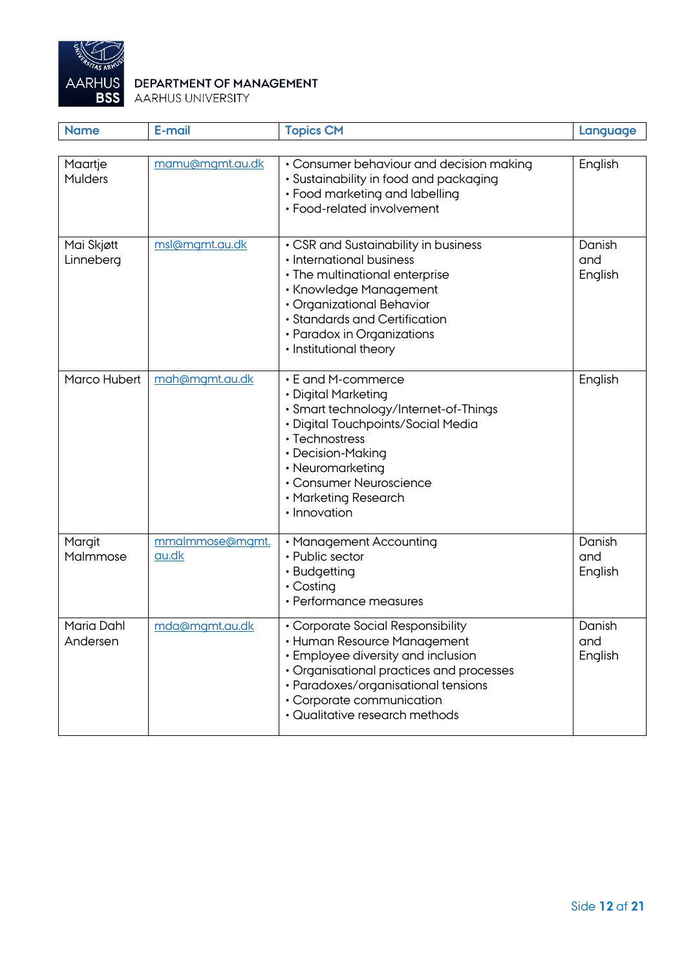

| <b>Name</b>                   | E-mail                   | <b>Topics CM</b>                                                                                                                                                                                                                                         | Language                 |
|-------------------------------|--------------------------|----------------------------------------------------------------------------------------------------------------------------------------------------------------------------------------------------------------------------------------------------------|--------------------------|
| Maartje<br><b>Mulders</b>     | mamu@mgmt.au.dk          | • Consumer behaviour and decision making<br>• Sustainability in food and packaging<br>• Food marketing and labelling<br>• Food-related involvement                                                                                                       | English                  |
| Mai Skjøtt<br>Linneberg       | msl@mgmt.au.dk           | • CSR and Sustainability in business<br>• International business<br>• The multinational enterprise<br>• Knowledge Management<br>• Organizational Behavior<br>• Standards and Certification<br>• Paradox in Organizations<br>• Institutional theory       | Danish<br>and<br>English |
| Marco Hubert                  | mah@mgmt.au.dk           | • E and M-commerce<br>• Digital Marketing<br>· Smart technology/Internet-of-Things<br>• Digital Touchpoints/Social Media<br>• Technostress<br>• Decision-Making<br>• Neuromarketing<br>• Consumer Neuroscience<br>• Marketing Research<br>• Innovation   | English                  |
| Margit<br>Malmmose            | mmalmmose@mgmt.<br>au.dk | • Management Accounting<br>• Public sector<br>• Budgetting<br>$\cdot$ Costing<br>• Performance measures                                                                                                                                                  | Danish<br>and<br>English |
| <b>Maria Dahl</b><br>Andersen | mda@mgmt.au.dk           | • Corporate Social Responsibility<br>· Human Resource Management<br>• Employee diversity and inclusion<br>• Organisational practices and processes<br>· Paradoxes/organisational tensions<br>• Corporate communication<br>• Qualitative research methods | Danish<br>and<br>English |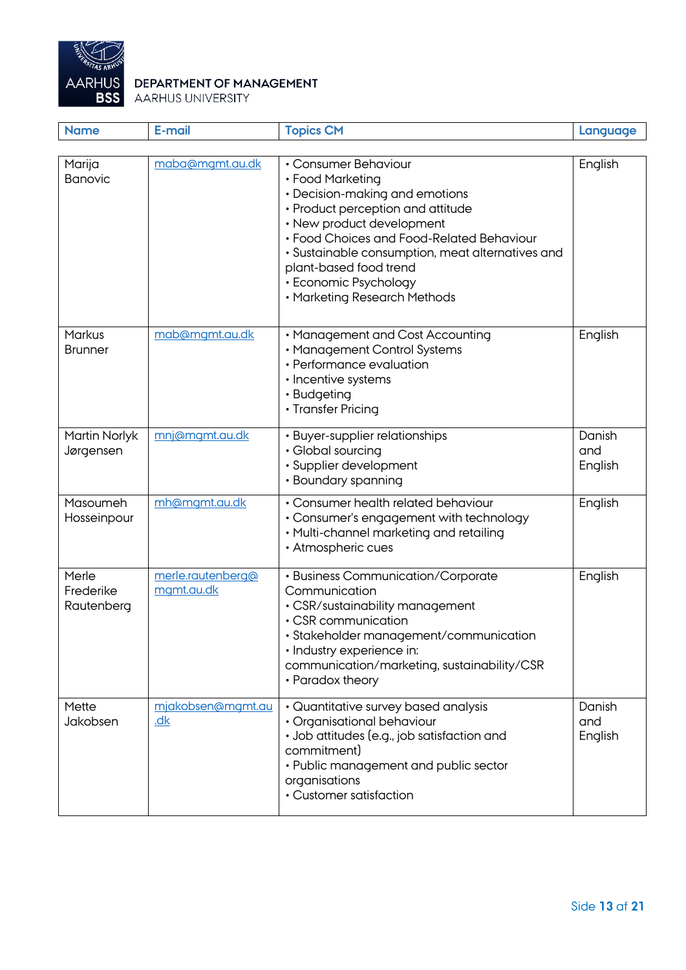

| <b>Name</b>                      | E-mail                          | <b>Topics CM</b>                                                                                                                                                                                                                                                                                                                 | Language                 |
|----------------------------------|---------------------------------|----------------------------------------------------------------------------------------------------------------------------------------------------------------------------------------------------------------------------------------------------------------------------------------------------------------------------------|--------------------------|
| Marija<br><b>Banovic</b>         | maba@mgmt.au.dk                 | • Consumer Behaviour<br>• Food Marketing<br>• Decision-making and emotions<br>• Product perception and attitude<br>• New product development<br>• Food Choices and Food-Related Behaviour<br>· Sustainable consumption, meat alternatives and<br>plant-based food trend<br>• Economic Psychology<br>• Marketing Research Methods | English                  |
| Markus<br><b>Brunner</b>         | mab@mgmt.au.dk                  | • Management and Cost Accounting<br>• Management Control Systems<br>• Performance evaluation<br>• Incentive systems<br>• Budgeting<br>• Transfer Pricing                                                                                                                                                                         | English                  |
| Martin Norlyk<br>Jørgensen       | mnj@mgmt.au.dk                  | • Buyer-supplier relationships<br>• Global sourcing<br>· Supplier development<br>• Boundary spanning                                                                                                                                                                                                                             | Danish<br>and<br>English |
| Masoumeh<br>Hosseinpour          | mh@mgmt.au.dk                   | • Consumer health related behaviour<br>• Consumer's engagement with technology<br>• Multi-channel marketing and retailing<br>• Atmospheric cues                                                                                                                                                                                  | English                  |
| Merle<br>Frederike<br>Rautenberg | merle.rautenberg@<br>mgmt.au.dk | • Business Communication/Corporate<br>Communication<br>• CSR/sustainability management<br>• CSR communication<br>· Stakeholder management/communication<br>· Industry experience in:<br>communication/marketing, sustainability/CSR<br>• Paradox theory                                                                          | English                  |
| Mette<br>Jakobsen                | mjakobsen@mgmt.au<br>dk         | • Quantitative survey based analysis<br>• Organisational behaviour<br>· Job attitudes (e.g., job satisfaction and<br>commitment)<br>• Public management and public sector<br>organisations<br>• Customer satisfaction                                                                                                            | Danish<br>and<br>English |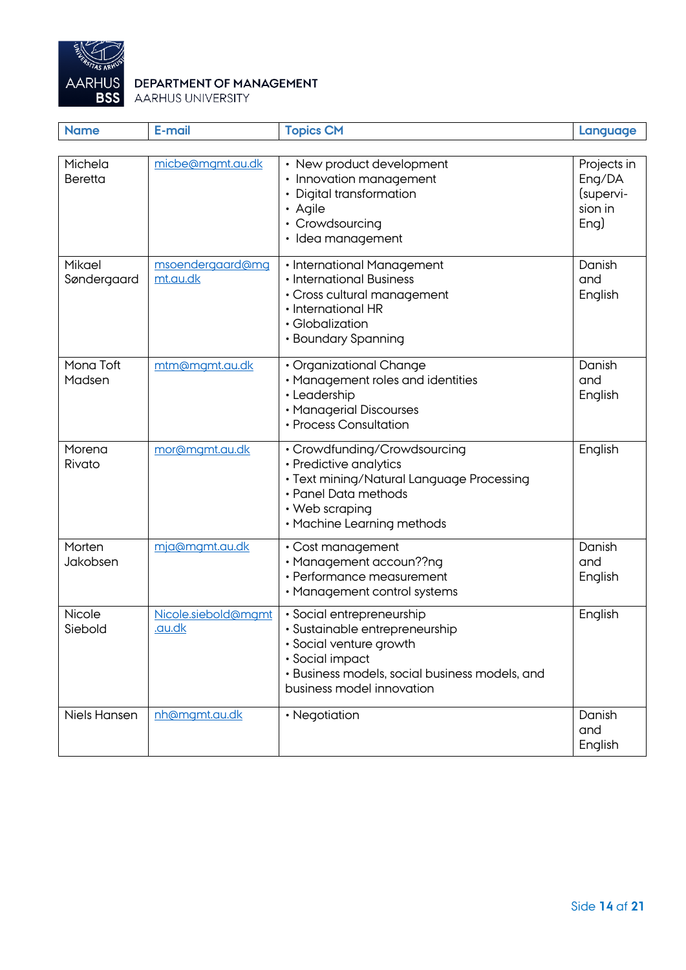

| <b>Name</b>               | E-mail                        | <b>Topics CM</b>                                                                                                                                                                         | Language                                              |
|---------------------------|-------------------------------|------------------------------------------------------------------------------------------------------------------------------------------------------------------------------------------|-------------------------------------------------------|
|                           |                               |                                                                                                                                                                                          |                                                       |
| Michela<br><b>Beretta</b> | micbe@mgmt.au.dk              | • New product development<br>• Innovation management<br>• Digital transformation<br>• Agile<br>• Crowdsourcing<br>· Idea management                                                      | Projects in<br>Eng/DA<br>(supervi-<br>sion in<br>Eng) |
| Mikael<br>Søndergaard     | msoendergaard@mg<br>mt.au.dk  | • International Management<br>• International Business<br>· Cross cultural management<br>• International HR<br>· Globalization<br>• Boundary Spanning                                    | Danish<br>and<br>English                              |
| Mona Toft<br>Madsen       | mtm@mgmt.au.dk                | • Organizational Change<br>• Management roles and identities<br>· Leadership<br>• Managerial Discourses<br>• Process Consultation                                                        | Danish<br>and<br>English                              |
| Morena<br>Rivato          | mor@mgmt.au.dk                | • Crowdfunding/Crowdsourcing<br>• Predictive analytics<br>· Text mining/Natural Language Processing<br>• Panel Data methods<br>• Web scraping<br>• Machine Learning methods              | English                                               |
| Morten<br>Jakobsen        | mja@mgmt.au.dk                | • Cost management<br>· Management accoun??ng<br>• Performance measurement<br>• Management control systems                                                                                | Danish<br>and<br>English                              |
| Nicole<br>Siebold         | Nicole.siebold@mamt<br>.au.dk | • Social entrepreneurship<br>· Sustainable entrepreneurship<br>· Social venture growth<br>· Social impact<br>• Business models, social business models, and<br>business model innovation | English                                               |
| Niels Hansen              | nh@mgmt.au.dk                 | • Negotiation                                                                                                                                                                            | Danish<br>and<br>English                              |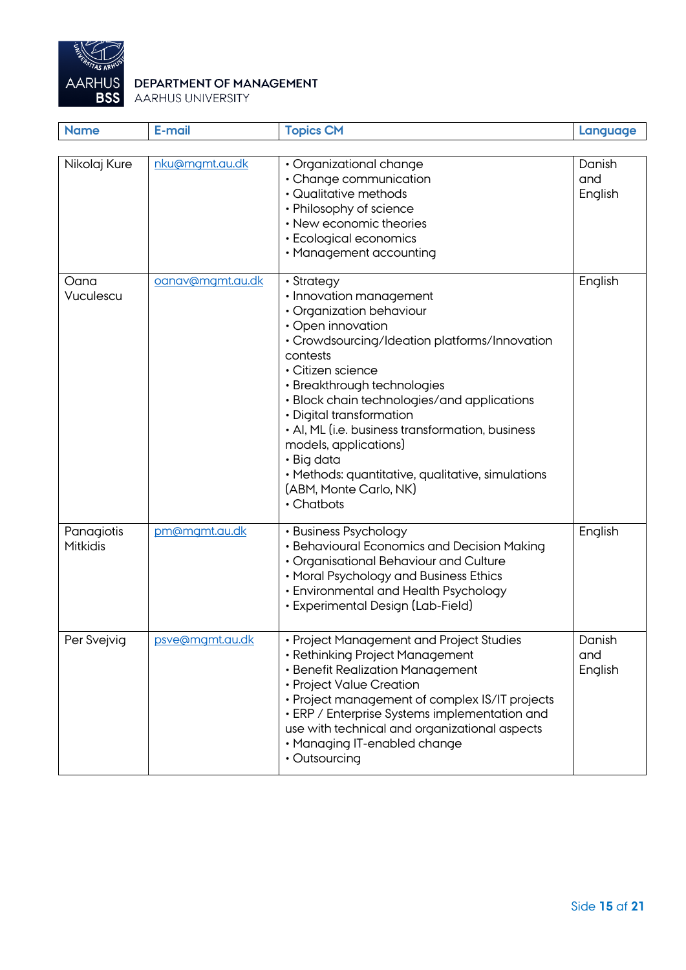

| <b>Name</b>            | E-mail           | <b>Topics CM</b>                                                                                                                                                                                                                                                                                                                                                                                                                                                           | Language                 |
|------------------------|------------------|----------------------------------------------------------------------------------------------------------------------------------------------------------------------------------------------------------------------------------------------------------------------------------------------------------------------------------------------------------------------------------------------------------------------------------------------------------------------------|--------------------------|
|                        |                  |                                                                                                                                                                                                                                                                                                                                                                                                                                                                            |                          |
| Nikolaj Kure           | nku@mgmt.au.dk   | · Organizational change<br>• Change communication<br>• Qualitative methods<br>• Philosophy of science<br>• New economic theories<br>• Ecological economics<br>• Management accounting                                                                                                                                                                                                                                                                                      | Danish<br>and<br>English |
| Oana<br>Vuculescu      | oanav@mgmt.au.dk | • Strategy<br>• Innovation management<br>• Organization behaviour<br>• Open innovation<br>• Crowdsourcing/Ideation platforms/Innovation<br>contests<br>· Citizen science<br>• Breakthrough technologies<br>· Block chain technologies/and applications<br>• Digital transformation<br>• AI, ML (i.e. business transformation, business<br>models, applications)<br>• Big data<br>· Methods: quantitative, qualitative, simulations<br>(ABM, Monte Carlo, NK)<br>• Chatbots | English                  |
| Panagiotis<br>Mitkidis | pm@mgmt.au.dk    | • Business Psychology<br>• Behavioural Economics and Decision Making<br>• Organisational Behaviour and Culture<br>• Moral Psychology and Business Ethics<br>• Environmental and Health Psychology<br>• Experimental Design (Lab-Field)                                                                                                                                                                                                                                     | English                  |
| Per Svejvig            | psve@mgmt.au.dk  | · Project Management and Project Studies<br>• Rethinking Project Management<br>• Benefit Realization Management<br>• Project Value Creation<br>• Project management of complex IS/IT projects<br>• ERP / Enterprise Systems implementation and<br>use with technical and organizational aspects<br>• Managing IT-enabled change<br>• Outsourcing                                                                                                                           | Danish<br>and<br>English |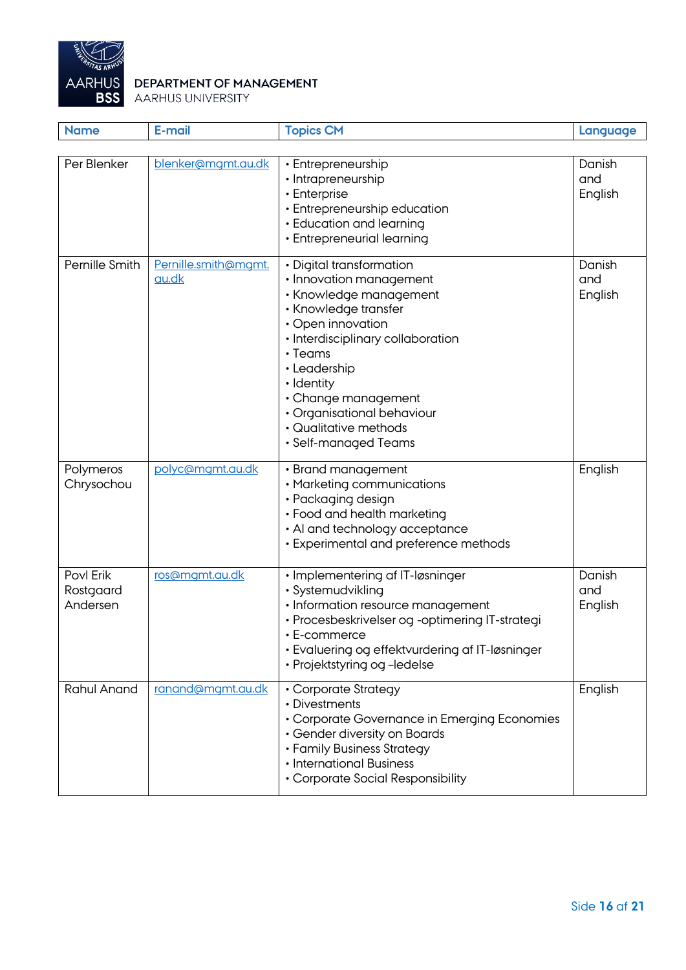

| <b>Name</b>                        | E-mail                        | <b>Topics CM</b>                                                                                                                                                                                                                                                                                                     | Language                 |
|------------------------------------|-------------------------------|----------------------------------------------------------------------------------------------------------------------------------------------------------------------------------------------------------------------------------------------------------------------------------------------------------------------|--------------------------|
| Per Blenker                        | blenker@mgmt.au.dk            | • Entrepreneurship<br>• Intrapreneurship<br>• Enterprise<br>• Entrepreneurship education<br>• Education and learning<br>• Entrepreneurial learning                                                                                                                                                                   | Danish<br>and<br>English |
| Pernille Smith                     | Pernille.smith@mgmt.<br>au.dk | • Digital transformation<br>· Innovation management<br>• Knowledge management<br>• Knowledge transfer<br>• Open innovation<br>· Interdisciplinary collaboration<br>$\cdot$ Teams<br>· Leadership<br>· Identity<br>• Change management<br>· Organisational behaviour<br>• Qualitative methods<br>• Self-managed Teams | Danish<br>and<br>English |
| Polymeros<br>Chrysochou            | polyc@mgmt.au.dk              | • Brand management<br>• Marketing communications<br>• Packaging design<br>• Food and health marketing<br>• Al and technology acceptance<br>• Experimental and preference methods                                                                                                                                     | English                  |
| Povl Erik<br>Rostgaard<br>Andersen | ros@mgmt.au.dk                | · Implementering af IT-løsninger<br>· Systemudvikling<br>· Information resource management<br>· Procesbeskrivelser og -optimering IT-strategi<br>• E-commerce<br>• Evaluering og effektvurdering af IT-løsninger<br>• Projektstyring og -ledelse                                                                     | Danish<br>and<br>English |
| <b>Rahul Anand</b>                 | ranand@mgmt.au.dk             | • Corporate Strategy<br>• Divestments<br>• Corporate Governance in Emerging Economies<br>• Gender diversity on Boards<br>• Family Business Strategy<br>• International Business<br>• Corporate Social Responsibility                                                                                                 | English                  |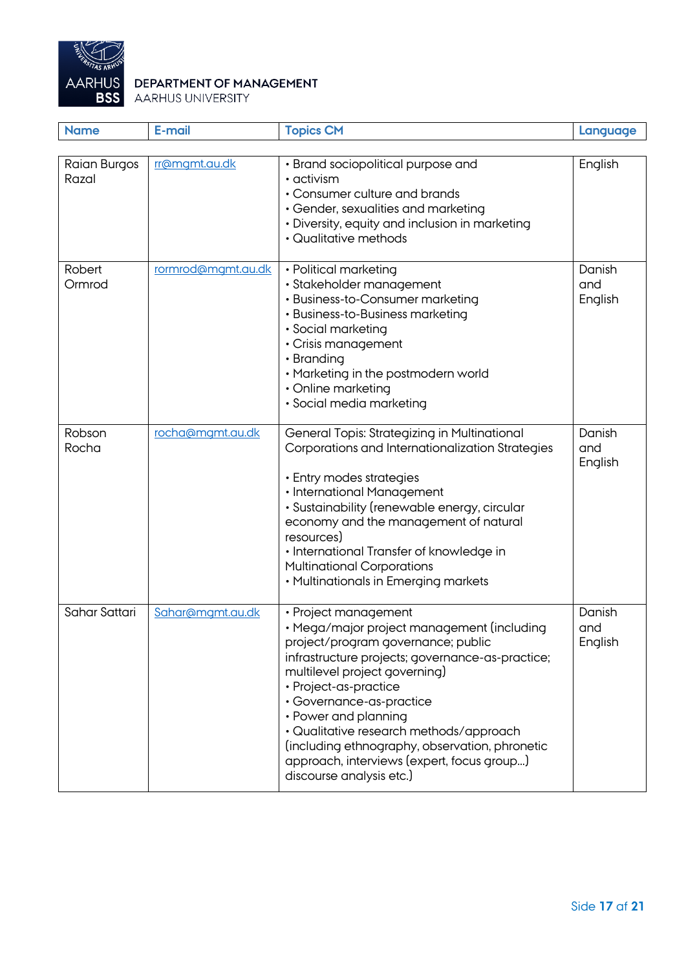

| <b>Name</b>           | E-mail             | <b>Topics CM</b>                                                                                                                                                                                                                                                                                                                                                                                                                                  | Language                 |
|-----------------------|--------------------|---------------------------------------------------------------------------------------------------------------------------------------------------------------------------------------------------------------------------------------------------------------------------------------------------------------------------------------------------------------------------------------------------------------------------------------------------|--------------------------|
|                       |                    |                                                                                                                                                                                                                                                                                                                                                                                                                                                   |                          |
| Raian Burgos<br>Razal | rr@mgmt.au.dk      | • Brand sociopolitical purpose and<br>$\cdot$ activism<br>• Consumer culture and brands<br>• Gender, sexualities and marketing<br>• Diversity, equity and inclusion in marketing<br>• Qualitative methods                                                                                                                                                                                                                                         | English                  |
| Robert<br>Ormrod      | rormrod@mgmt.au.dk | • Political marketing<br>· Stakeholder management<br>• Business-to-Consumer marketing<br>• Business-to-Business marketing<br>• Social marketing<br>• Crisis management<br>• Branding<br>• Marketing in the postmodern world<br>• Online marketing<br>• Social media marketing                                                                                                                                                                     | Danish<br>and<br>English |
| Robson<br>Rocha       | rocha@mgmt.au.dk   | General Topis: Strategizing in Multinational<br>Corporations and Internationalization Strategies<br>• Entry modes strategies<br>• International Management<br>· Sustainability (renewable energy, circular<br>economy and the management of natural<br>resources)<br>· International Transfer of knowledge in<br><b>Multinational Corporations</b><br>• Multinationals in Emerging markets                                                        | Danish<br>and<br>English |
| Sahar Sattari         | Sahar@mgmt.au.dk   | • Project management<br>· Mega/major project management (including<br>project/program governance; public<br>infrastructure projects; governance-as-practice;<br>multilevel project governing)<br>• Project-as-practice<br>· Governance-as-practice<br>• Power and planning<br>· Qualitative research methods/approach<br>(including ethnography, observation, phronetic<br>approach, interviews (expert, focus group)<br>discourse analysis etc.) | Danish<br>and<br>English |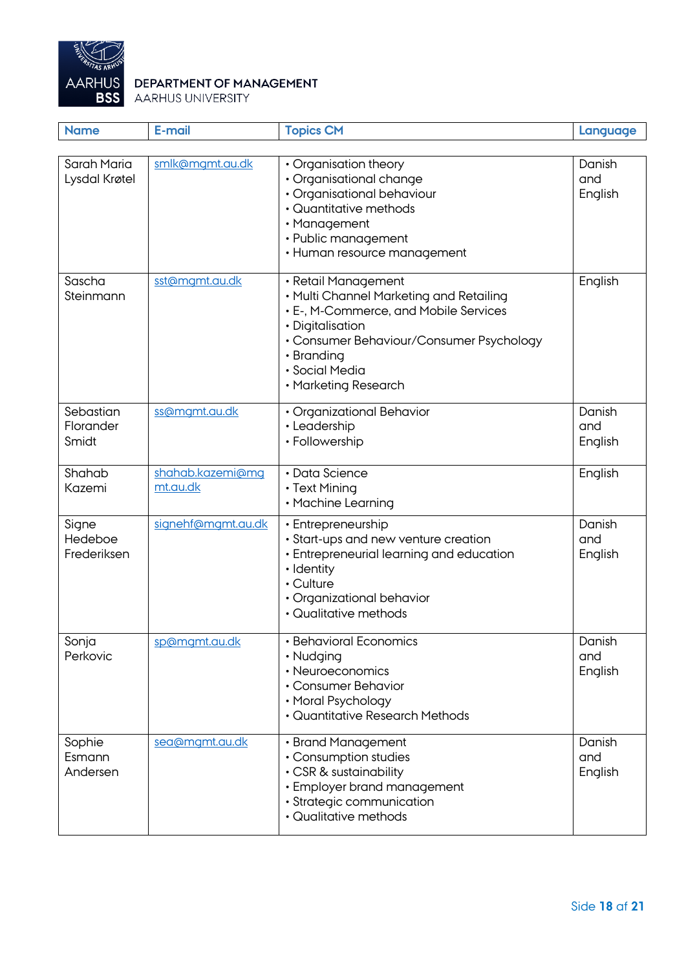

| <b>Name</b>                     | E-mail                       | <b>Topics CM</b>                                                                                                                                                                                                                | Language                 |
|---------------------------------|------------------------------|---------------------------------------------------------------------------------------------------------------------------------------------------------------------------------------------------------------------------------|--------------------------|
|                                 |                              |                                                                                                                                                                                                                                 |                          |
| Sarah Maria<br>Lysdal Krøtel    | smlk@mgmt.au.dk              | • Organisation theory<br>• Organisational change<br>· Organisational behaviour<br>• Quantitative methods<br>• Management<br>• Public management<br>• Human resource management                                                  | Danish<br>and<br>English |
| Sascha<br>Steinmann             | sst@mgmt.au.dk               | · Retail Management<br>• Multi Channel Marketing and Retailing<br>• E-, M-Commerce, and Mobile Services<br>• Digitalisation<br>• Consumer Behaviour/Consumer Psychology<br>• Branding<br>· Social Media<br>• Marketing Research | English                  |
| Sebastian<br>Florander<br>Smidt | ss@mgmt.au.dk                | • Organizational Behavior<br>• Leadership<br>• Followership                                                                                                                                                                     | Danish<br>and<br>English |
| Shahab<br>Kazemi                | shahab.kazemi@mg<br>mt.au.dk | • Data Science<br>• Text Mining<br>• Machine Learning                                                                                                                                                                           | English                  |
| Signe<br>Hedeboe<br>Frederiksen | signehf@mgmt.au.dk           | • Entrepreneurship<br>• Start-ups and new venture creation<br>• Entrepreneurial learning and education<br>· Identity<br>• Culture<br>· Organizational behavior<br>• Qualitative methods                                         | Danish<br>and<br>English |
| Sonja<br>Perkovic               | sp@mgmt.au.dk                | • Behavioral Economics<br>• Nudging<br>• Neuroeconomics<br>• Consumer Behavior<br>• Moral Psychology<br>• Quantitative Research Methods                                                                                         | Danish<br>and<br>English |
| Sophie<br>Esmann<br>Andersen    | sea@mgmt.au.dk               | • Brand Management<br>• Consumption studies<br>• CSR & sustainability<br>• Employer brand management<br>· Strategic communication<br>• Qualitative methods                                                                      | Danish<br>and<br>English |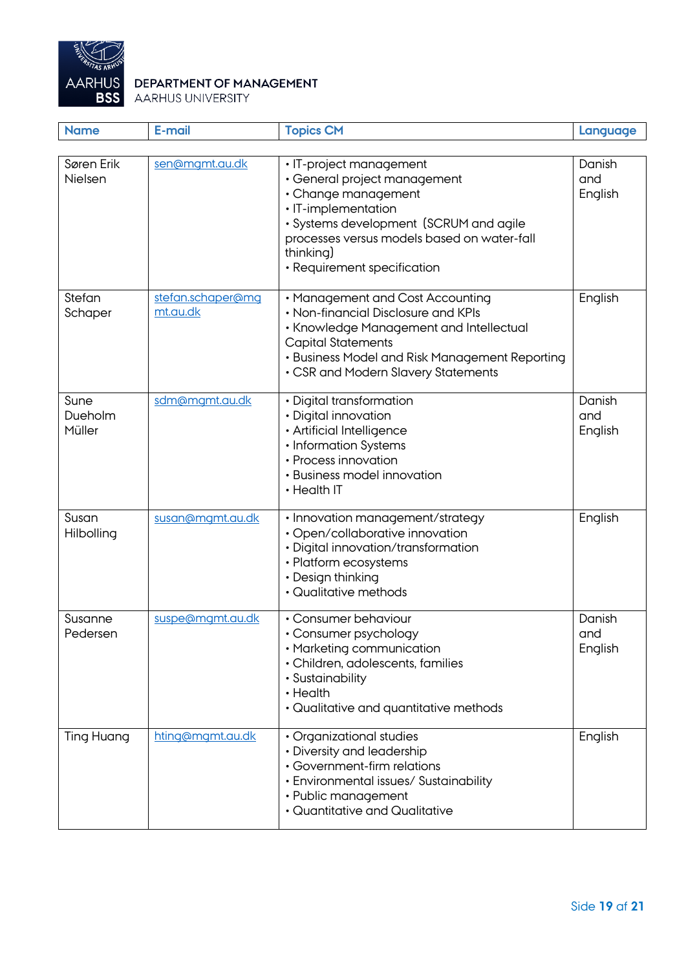

| <b>Name</b>               | E-mail                        | <b>Topics CM</b>                                                                                                                                                                                                                           | Language                 |
|---------------------------|-------------------------------|--------------------------------------------------------------------------------------------------------------------------------------------------------------------------------------------------------------------------------------------|--------------------------|
|                           |                               |                                                                                                                                                                                                                                            |                          |
| Søren Erik<br>Nielsen     | sen@mgmt.au.dk                | • IT-project management<br>• General project management<br>• Change management<br>· IT-implementation<br>· Systems development (SCRUM and agile<br>processes versus models based on water-fall<br>thinking)<br>· Requirement specification | Danish<br>and<br>English |
| Stefan<br>Schaper         | stefan.schaper@mq<br>mt.au.dk | • Management and Cost Accounting<br>• Non-financial Disclosure and KPIs<br>• Knowledge Management and Intellectual<br><b>Capital Statements</b><br>• Business Model and Risk Management Reporting<br>• CSR and Modern Slavery Statements   | English                  |
| Sune<br>Dueholm<br>Müller | sdm@mgmt.au.dk                | • Digital transformation<br>• Digital innovation<br>· Artificial Intelligence<br>• Information Systems<br>• Process innovation<br>· Business model innovation<br>• Health IT                                                               | Danish<br>and<br>English |
| Susan<br>Hilbolling       | susan@mgmt.au.dk              | · Innovation management/strategy<br>· Open/collaborative innovation<br>· Digital innovation/transformation<br>• Platform ecosystems<br>• Design thinking<br>• Qualitative methods                                                          | English                  |
| Susanne<br>Pedersen       | suspe@mgmt.au.dk              | • Consumer behaviour<br>• Consumer psychology<br>• Marketing communication<br>· Children, adolescents, families<br>• Sustainability<br>• Health<br>• Qualitative and quantitative methods                                                  | Danish<br>and<br>English |
| <b>Ting Huang</b>         | hting@mgmt.au.dk              | • Organizational studies<br>• Diversity and leadership<br>• Government-firm relations<br>• Environmental issues/ Sustainability<br>• Public management<br>• Quantitative and Qualitative                                                   | English                  |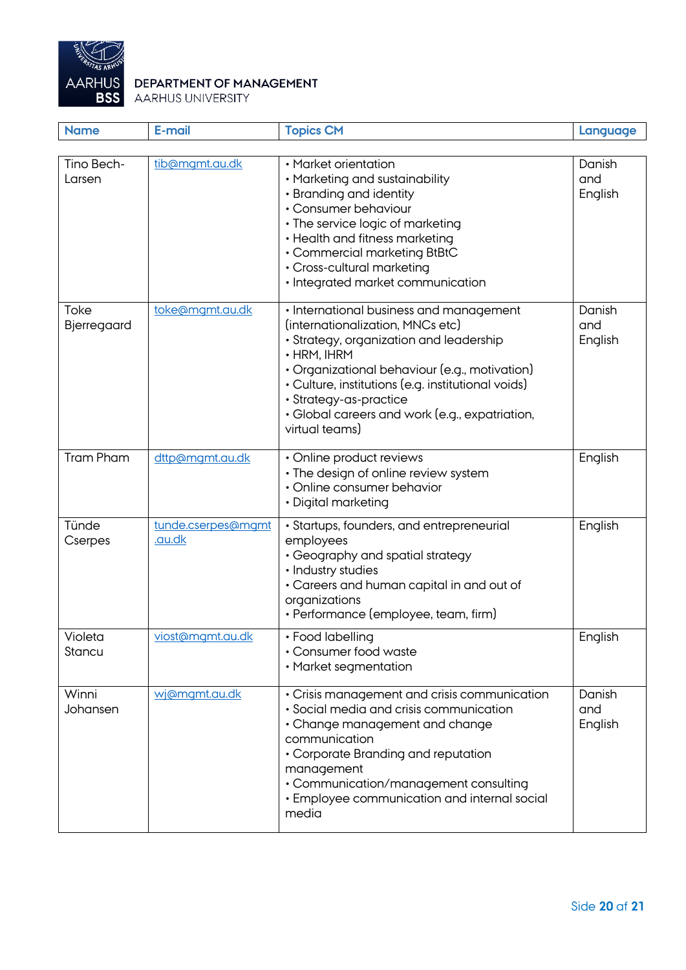

| <b>Name</b>          | E-mail                       | <b>Topics CM</b>                                                                                                                                                                                                                                                                                                                                 | Language                 |
|----------------------|------------------------------|--------------------------------------------------------------------------------------------------------------------------------------------------------------------------------------------------------------------------------------------------------------------------------------------------------------------------------------------------|--------------------------|
| Tino Bech-<br>Larsen | tib@mgmt.au.dk               | • Market orientation<br>• Marketing and sustainability<br>• Branding and identity<br>• Consumer behaviour<br>• The service logic of marketing<br>• Health and fitness marketing<br>• Commercial marketing BtBtC<br>• Cross-cultural marketing<br>· Integrated market communication                                                               | Danish<br>and<br>English |
| Toke<br>Bjerregaard  | toke@mgmt.au.dk              | • International business and management<br>(internationalization, MNCs etc)<br>· Strategy, organization and leadership<br>$\cdot$ HRM, IHRM<br>• Organizational behaviour (e.g., motivation)<br>· Culture, institutions (e.g. institutional voids)<br>· Strategy-as-practice<br>• Global careers and work (e.g., expatriation,<br>virtual teams) | Danish<br>and<br>English |
| <b>Tram Pham</b>     | dttp@mgmt.au.dk              | • Online product reviews<br>• The design of online review system<br>• Online consumer behavior<br>• Digital marketing                                                                                                                                                                                                                            | English                  |
| Tünde<br>Cserpes     | tunde.cserpes@mgmt<br>.au.dk | • Startups, founders, and entrepreneurial<br>employees<br>• Geography and spatial strategy<br>• Industry studies<br>• Careers and human capital in and out of<br>organizations<br>• Performance (employee, team, firm)                                                                                                                           | English                  |
| Violeta<br>Stancu    | viost@mgmt.au.dk             | • Food labelling<br>• Consumer food waste<br>• Market segmentation                                                                                                                                                                                                                                                                               | English                  |
| Winni<br>Johansen    | wj@mgmt.au.dk                | • Crisis management and crisis communication<br>· Social media and crisis communication<br>• Change management and change<br>communication<br>• Corporate Branding and reputation<br>management<br>• Communication/management consulting<br>• Employee communication and internal social<br>media                                                | Danish<br>and<br>English |